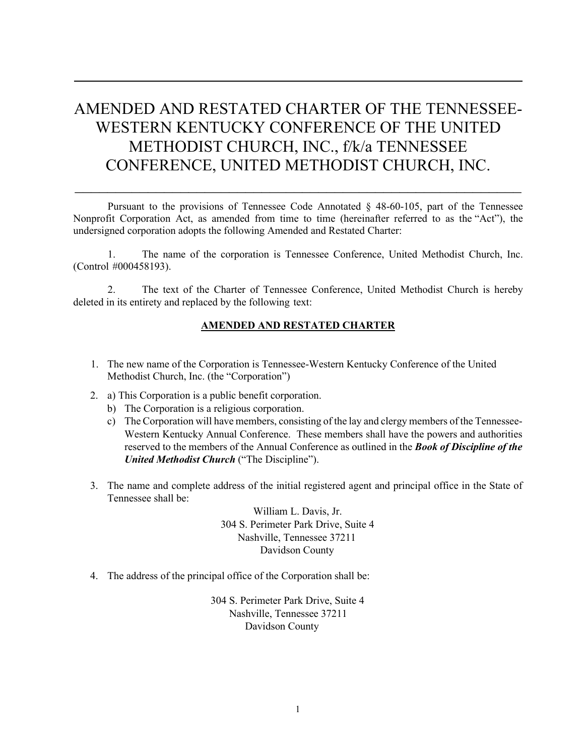## AMENDED AND RESTATED CHARTER OF THE TENNESSEE-WESTERN KENTUCKY CONFERENCE OF THE UNITED METHODIST CHURCH, INC., f/k/a TENNESSEE CONFERENCE, UNITED METHODIST CHURCH, INC.

Pursuant to the provisions of Tennessee Code Annotated § 48-60-105, part of the Tennessee Nonprofit Corporation Act, as amended from time to time (hereinafter referred to as the "Act"), the undersigned corporation adopts the following Amended and Restated Charter:

 $\_$ 

1. The name of the corporation is Tennessee Conference, United Methodist Church, Inc. (Control #000458193).

2. The text of the Charter of Tennessee Conference, United Methodist Church is hereby deleted in its entirety and replaced by the following text:

## **AMENDED AND RESTATED CHARTER**

- 1. The new name of the Corporation is Tennessee-Western Kentucky Conference of the United Methodist Church, Inc. (the "Corporation")
- 2. a) This Corporation is a public benefit corporation.
	- b) The Corporation is a religious corporation.
	- c) The Corporation will have members, consisting of the lay and clergy members of the Tennessee-Western Kentucky Annual Conference. These members shall have the powers and authorities reserved to the members of the Annual Conference as outlined in the *Book of Discipline of the United Methodist Church* ("The Discipline").
- 3. The name and complete address of the initial registered agent and principal office in the State of Tennessee shall be:

William L. Davis, Jr. 304 S. Perimeter Park Drive, Suite 4 Nashville, Tennessee 37211 Davidson County

4. The address of the principal office of the Corporation shall be:

304 S. Perimeter Park Drive, Suite 4 Nashville, Tennessee 37211 Davidson County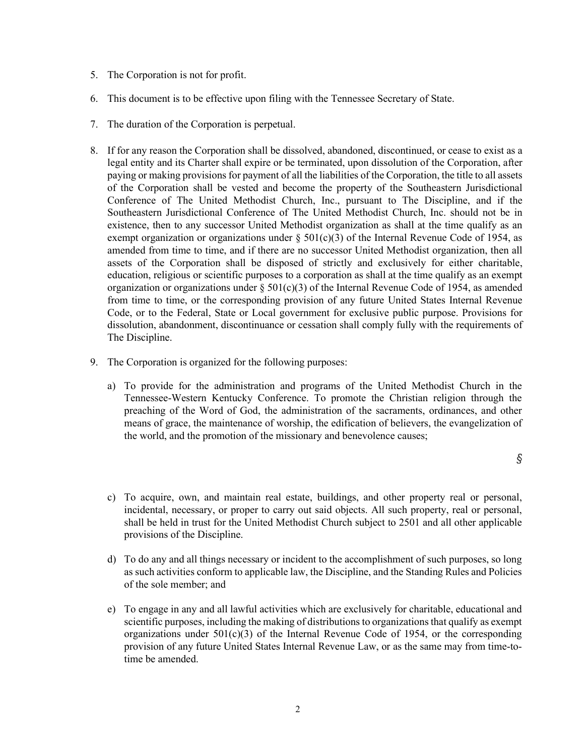- 5. The Corporation is not for profit.
- 6. This document is to be effective upon filing with the Tennessee Secretary of State.
- 7. The duration of the Corporation is perpetual.
- 8. If for any reason the Corporation shall be dissolved, abandoned, discontinued, or cease to exist as a legal entity and its Charter shall expire or be terminated, upon dissolution of the Corporation, after paying or making provisions for payment of all the liabilities of the Corporation, the title to all assets of the Corporation shall be vested and become the property of the Southeastern Jurisdictional Conference of The United Methodist Church, Inc., pursuant to The Discipline, and if the Southeastern Jurisdictional Conference of The United Methodist Church, Inc. should not be in existence, then to any successor United Methodist organization as shall at the time qualify as an exempt organization or organizations under  $\S$  501(c)(3) of the Internal Revenue Code of 1954, as amended from time to time, and if there are no successor United Methodist organization, then all assets of the Corporation shall be disposed of strictly and exclusively for either charitable, education, religious or scientific purposes to a corporation as shall at the time qualify as an exempt organization or organizations under  $\S 501(c)(3)$  of the Internal Revenue Code of 1954, as amended from time to time, or the corresponding provision of any future United States Internal Revenue Code, or to the Federal, State or Local government for exclusive public purpose. Provisions for dissolution, abandonment, discontinuance or cessation shall comply fully with the requirements of The Discipline.
- 9. The Corporation is organized for the following purposes:
	- a) To provide for the administration and programs of the United Methodist Church in the Tennessee-Western Kentucky Conference. To promote the Christian religion through the preaching of the Word of God, the administration of the sacraments, ordinances, and other means of grace, the maintenance of worship, the edification of believers, the evangelization of the world, and the promotion of the missionary and benevolence causes;

- c) To acquire, own, and maintain real estate, buildings, and other property real or personal, incidental, necessary, or proper to carry out said objects. All such property, real or personal, shall be held in trust for the United Methodist Church subject to 2501 and all other applicable provisions of the Discipline.
- d) To do any and all things necessary or incident to the accomplishment of such purposes, so long as such activities conform to applicable law, the Discipline, and the Standing Rules and Policies of the sole member; and
- e) To engage in any and all lawful activities which are exclusively for charitable, educational and scientific purposes, including the making of distributions to organizations that qualify as exempt organizations under  $501(c)(3)$  of the Internal Revenue Code of 1954, or the corresponding provision of any future United States Internal Revenue Law, or as the same may from time-totime be amended.